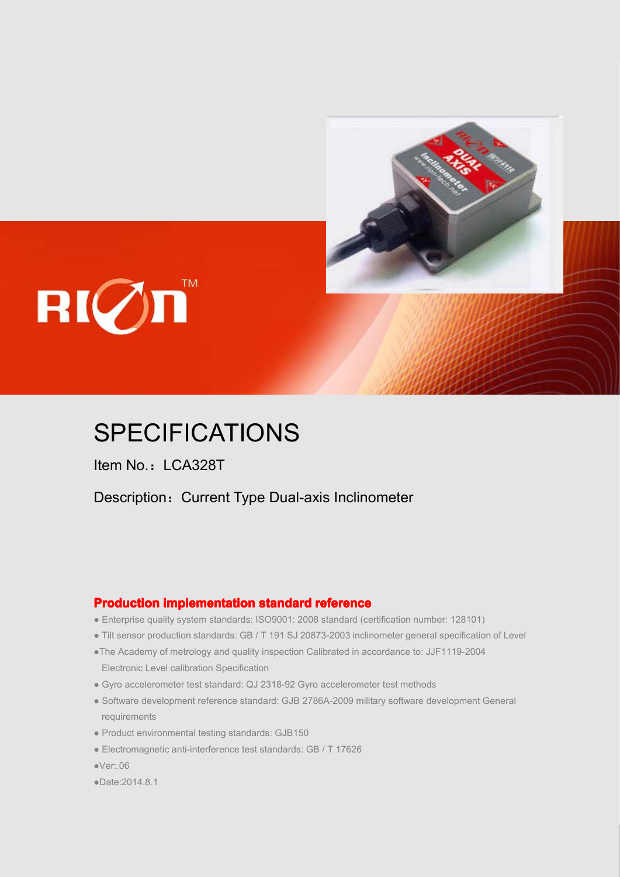

## $\mathbf{R}[\mathcal{O}]\mathbf{n}$

## **SPECIFICATIONS**

Item No.: LCA328T

Description: Current Type Dual-axis Inclinometer

#### **Production implementation standard reference**

- Enterprise quality system standards: ISO9001: 2008 standard (certification number: 128101)
- Tilt sensor production standards: GB / T191 SJ 20873-2003 inclinometer general specification of Level
	- ●The Academy of metrology and quality inspection Calibrated in accordance to: JJF1119-2004 Electronic Level calibration Specification
- Gyro accelerometer test standard: QJ 2318-92 Gyro accelerometer test methods
- Software development reference standard: GJB 2786A-2009 military software development General requirements
- Product environmental testing standards: GJB150
- Electromagnetic anti-interference test standards: GB / T 17626
	- ●Ver:.06
	- ●Date:2014.8.1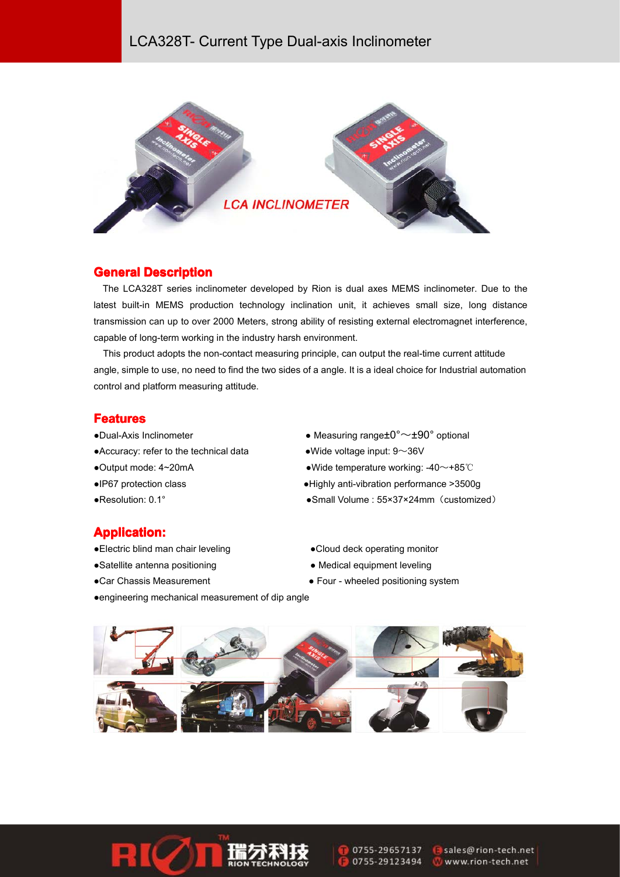#### LCA328T- Current Type Dual-axis Inclinometer



#### **General Description**

The LCA328T series inclinometer developed by Rion is dual axes MEMS inclinometer. Due to the latest built-in MEMS production technology inclination unit, it achieves small size, long distance transmission can up to over 2000 Meters, strong ability of resisting external electromagnet interference, capable of long-term working in the industry harsh environment.

This product adopts the non-contact measuring principle, can output the real-time current attitude angle, simple to use, no need to find the two sides of <sup>a</sup> angle. It is aideal choice for Industrial automation control and platform measuring attitude.

#### **Features Featureseatures**

- 
- Accuracy: refer to the technical data  $\bullet$  Wide voltage input: 9~36V
- 
- 
- 
- •Dual-Axis Inclinometer **••** Measuring range $\pm 0^{\circ} \sim \pm 90^{\circ}$  optional
	-
- ●Output mode: 4~20mA ●Wide temperature working: -40~+85℃
- ●IP67 protection class ●Highly anti-vibration performance >3500g
- ●Resolution: 0.1° ●Small Volume : 55×37×24mm(customized)

#### **Application: Application: Application:pplication:**

- 
- 
- 
- ●Electric blind man chair leveling entitled and a Cloud deck operating monitor
- ●Satellite antenna positioning ● Medical equipment leveling
- ●Car Chassis Measurement Four wheeled positioning system
- ●engineering mechanical measurement of dip angle





0755-29657137 0755-29123494 sales@rion-tech.net Www.rion-tech.net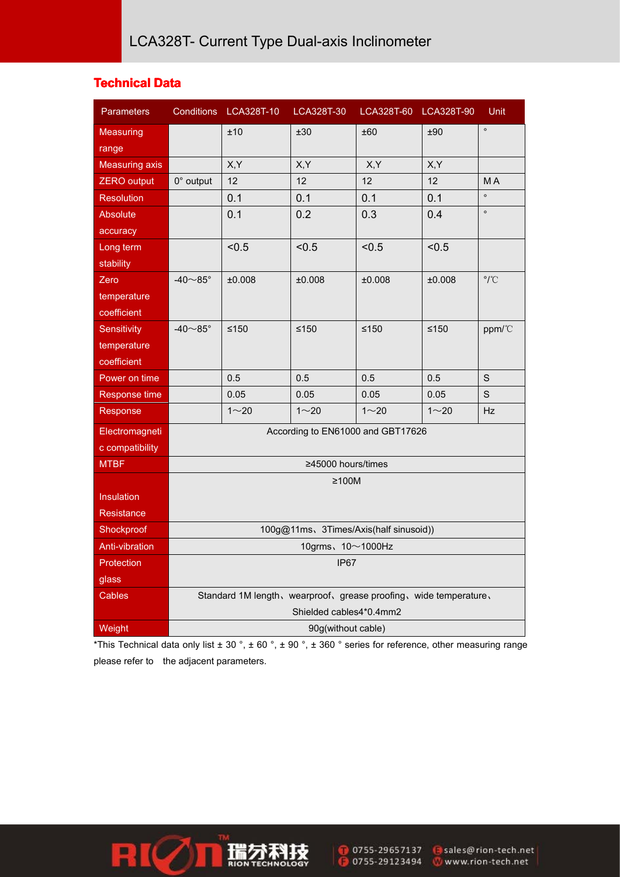#### **Technical Data**

| <b>Parameters</b>     |                                                                                              | Conditions LCA328T-10 | LCA328T-30 | LCA328T-60 LCA328T-90 |          | Unit                       |  |
|-----------------------|----------------------------------------------------------------------------------------------|-----------------------|------------|-----------------------|----------|----------------------------|--|
| <b>Measuring</b>      |                                                                                              | ±10                   | ±30        | ±60                   | ±90      | $\circ$                    |  |
| range                 |                                                                                              |                       |            |                       |          |                            |  |
| <b>Measuring axis</b> |                                                                                              | X, Y                  | X,Y        | X,Y                   | X,Y      |                            |  |
| <b>ZERO</b> output    | $0^\circ$ output                                                                             | 12                    | 12         | 12                    | 12       | МA                         |  |
| <b>Resolution</b>     |                                                                                              | 0.1                   | 0.1        | 0.1                   | 0.1      | $\circ$                    |  |
| <b>Absolute</b>       |                                                                                              | 0.1                   | 0.2        | 0.3                   | 0.4      | $\circ$                    |  |
| accuracy              |                                                                                              |                       |            |                       |          |                            |  |
| Long term             |                                                                                              | < 0.5                 | < 0.5      | < 0.5                 | < 0.5    |                            |  |
| stability             |                                                                                              |                       |            |                       |          |                            |  |
| Zero                  | -40 $\sim$ 85 $^{\circ}$                                                                     | ±0.008                | ±0.008     | ±0.008                | ±0.008   | $\rm ^{\circ} / ^{\circ}C$ |  |
| temperature           |                                                                                              |                       |            |                       |          |                            |  |
| coefficient           |                                                                                              |                       |            |                       |          |                            |  |
| Sensitivity           | -40 $\sim$ 85 $^{\circ}$                                                                     | $≤150$                | $≤150$     | $≤150$                | $≤150$   | ppm/°C                     |  |
| temperature           |                                                                                              |                       |            |                       |          |                            |  |
| coefficient           |                                                                                              |                       |            |                       |          |                            |  |
| Power on time         |                                                                                              | 0.5                   | 0.5        | 0.5                   | 0.5      | $\mathsf S$                |  |
| Response time         |                                                                                              | 0.05                  | 0.05       | 0.05                  | 0.05     | $\mathsf S$                |  |
| Response              |                                                                                              | $1 - 20$              | $1 - 20$   | $1 - 20$              | $1 - 20$ | Hz                         |  |
| Electromagneti        | According to EN61000 and GBT17626                                                            |                       |            |                       |          |                            |  |
| c compatibility       |                                                                                              |                       |            |                       |          |                            |  |
| <b>MTBF</b>           | ≥45000 hours/times                                                                           |                       |            |                       |          |                            |  |
|                       | ≥100M                                                                                        |                       |            |                       |          |                            |  |
| Insulation            |                                                                                              |                       |            |                       |          |                            |  |
| Resistance            |                                                                                              |                       |            |                       |          |                            |  |
| Shockproof            | 100g@11ms、3Times/Axis(half sinusoid))                                                        |                       |            |                       |          |                            |  |
| Anti-vibration        | 10grms、10~1000Hz                                                                             |                       |            |                       |          |                            |  |
| Protection            | IP67                                                                                         |                       |            |                       |          |                            |  |
| glass                 |                                                                                              |                       |            |                       |          |                            |  |
| Cables                | Standard 1M length, wearproof, grease proofing, wide temperature,<br>Shielded cables4*0.4mm2 |                       |            |                       |          |                            |  |
| Weight                | 90g(without cable)                                                                           |                       |            |                       |          |                            |  |
|                       |                                                                                              |                       |            |                       |          |                            |  |

\*This Technical data only list  $\pm$  30 °,  $\pm$  60 °,  $\pm$  90 °,  $\pm$  360 ° series for reference, other measuring range please refer to the adjacent parameters.



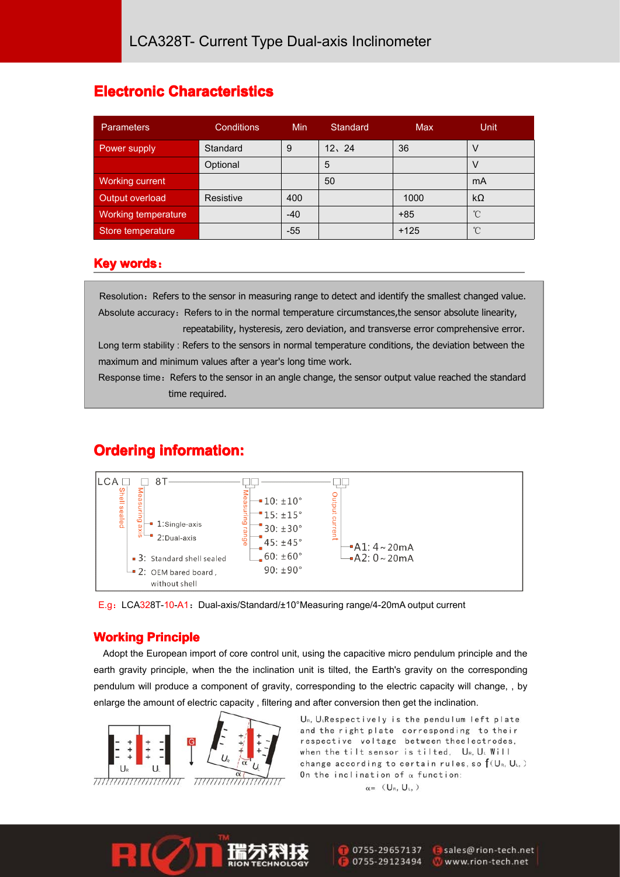## **Electronic Characteristics**

| <b>Parameters</b>   | <b>Conditions</b> | <b>Min</b> | Standard | Max    | <b>Unit</b>  |
|---------------------|-------------------|------------|----------|--------|--------------|
| Power supply        | Standard          | 9          | 12.24    | 36     |              |
|                     | Optional          |            | 5        |        |              |
| Working current     |                   |            | 50       |        | mA           |
| Output overload     | Resistive         | 400        |          | 1000   | $k\Omega$    |
| Working temperature |                   | $-40$      |          | $+85$  | $^{\circ}$ C |
| Store temperature   |                   | $-55$      |          | $+125$ | $^{\circ}$ C |

#### **Key words:**

Resolution: Refers to the sensor in measuring range to detect and identify the smallest changed value. Absolute accuracy: Refers to in the normal temperature circumstances, the sensor absolute linearity,

repeatability, hysteresis, zero deviation, and transverse error comprehensive error. Long term stability : Refers to the sensors in normal temperature conditions, the deviation between the maximum and minimum values after <sup>a</sup> year's long time work.

Response time: Refers to the sensor in an angle change, the sensor output value reached the standard time required.

## **Ordering information:**



E.g: LCA328T-10-A1: Dual-axis/Standard/±10°Measuring range/4-20mA output current

#### **Working Principle**

Adopt the European import of core control unit, using the capacitive micro pendulum principle and the earth gravity principle, when the the inclination unit is tilted, the Earth's gravity on the corresponding pendulum will produce <sup>a</sup> component of gravity, corresponding to the electric capacity will change, , by enlarge the amount of electric capacity , filtering and after conversion then get the inclination.



UR, U<sub>L</sub>Respectively is the pendulum left plate and the right plate corresponding to their respective voltage between theelectrodes, when the tilt sensor is tilted, UR, UL Will change according to certain rules, so  $f(U_{R}, U_{L},)$ On the inclination of  $\alpha$  function:

 $\alpha =$  (U<sub>R</sub>, U<sub>L</sub>, )

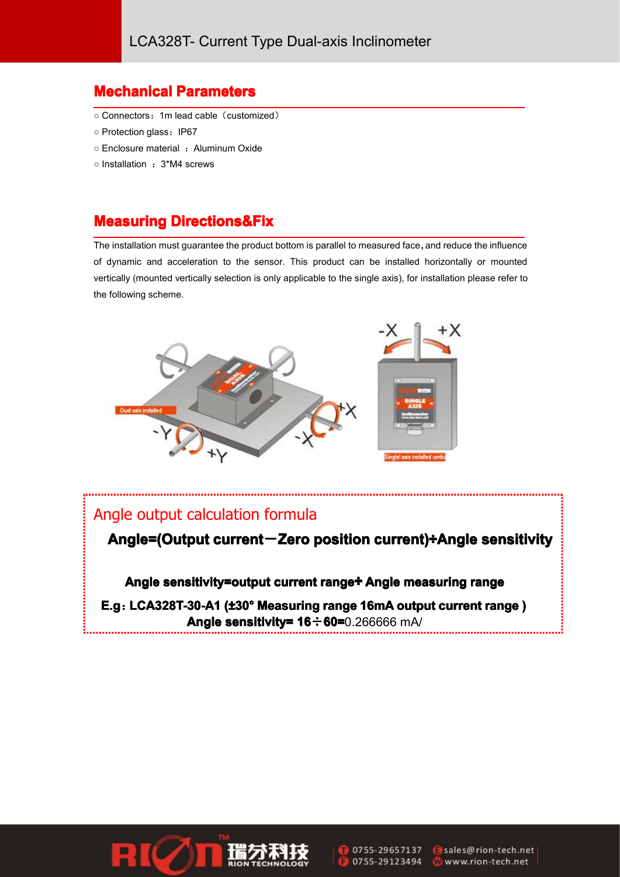## **Mechanical Mechanical echanicalParameters Parameters Parametersarameters**

- Connectors:1m lead cable(customized)
- Protection glass $:$  IP67
- Enclosure material : Aluminum Oxide
- $\circ$  Installation  $:~3^*$ M4 screws

## **Measuring Directions&Fix**

The installation must guarantee the product bottom is parallel to measured face, and reduce the influence of dynamic and acceleration to the sensor. This product can be installed horizontally or mounted vertically (mounted vertically selection is only applicable to the single axis), for installation please refer to the following scheme.



#### Angle output calculation formula

**Angle=(Output current current-Zero position position ositioncurrent currentcurrent)÷Angle sensitivity ensitivity**

**Angle sensitivity=output current range÷ Angle measuring range** 

**E.g:LCA328T-30-A1 CA328T-30-A1(±30° Measuring range 16mA output current current range ) Angle sensitivity= sensitivity= ensitivity= 16÷60=**0.266666 mA/





sales@rion-tech.net www.rion-tech.net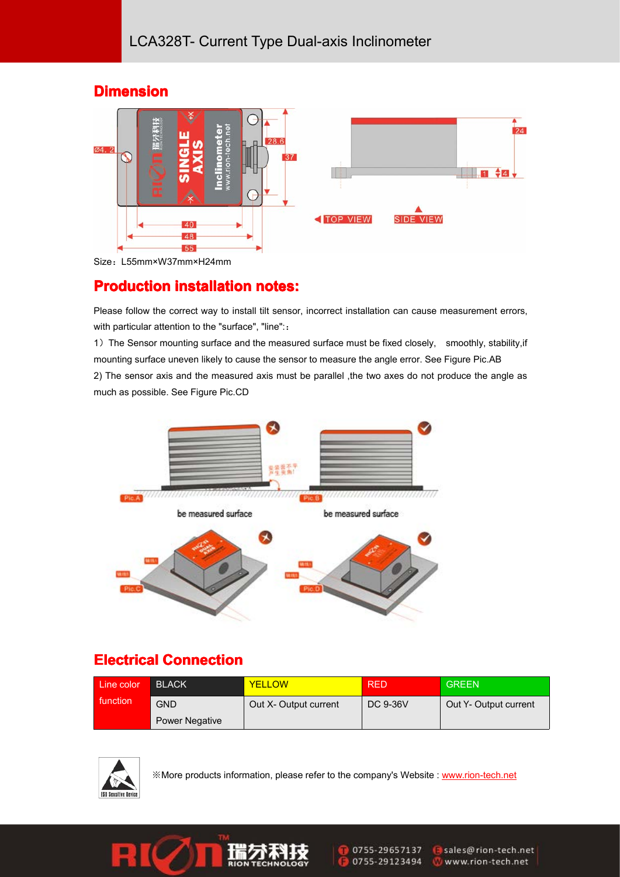## **Dimension Dimension Dimension**



Size:L55mm×W37mm×H24mm

## **Production installation notes:**

Please follow the correct way to install tilt sensor, incorrect installation can cause measurement errors, with particular attention to the "surface", "line"::

1) The Sensor mounting surface and the measured surface must be fixed closely, smoothly, stability, if mounting surface uneven likely to cause the sensor to measure the angle error. See Figure Pic.AB 2) The sensor axis and the measured axis must be parallel ,the two axes do not produce the angle as much as possible. See Figure Pic.CD



## **Electrical Connection**

| Line color | <b>BLACK</b>          | <b>YELLOW</b>         | RED      | <b>GREEN</b>          |
|------------|-----------------------|-----------------------|----------|-----------------------|
| function   | <b>GND</b>            | Out X- Output current | DC 9-36V | Out Y- Output current |
|            | <b>Power Negative</b> |                       |          |                       |



※More products information, please refer to the company's Website : [www.rion-tech.net](http://www.rion-tech.net)



0755-29657137 0755-29123494 sales@rion-tech.net www.rion-tech.net